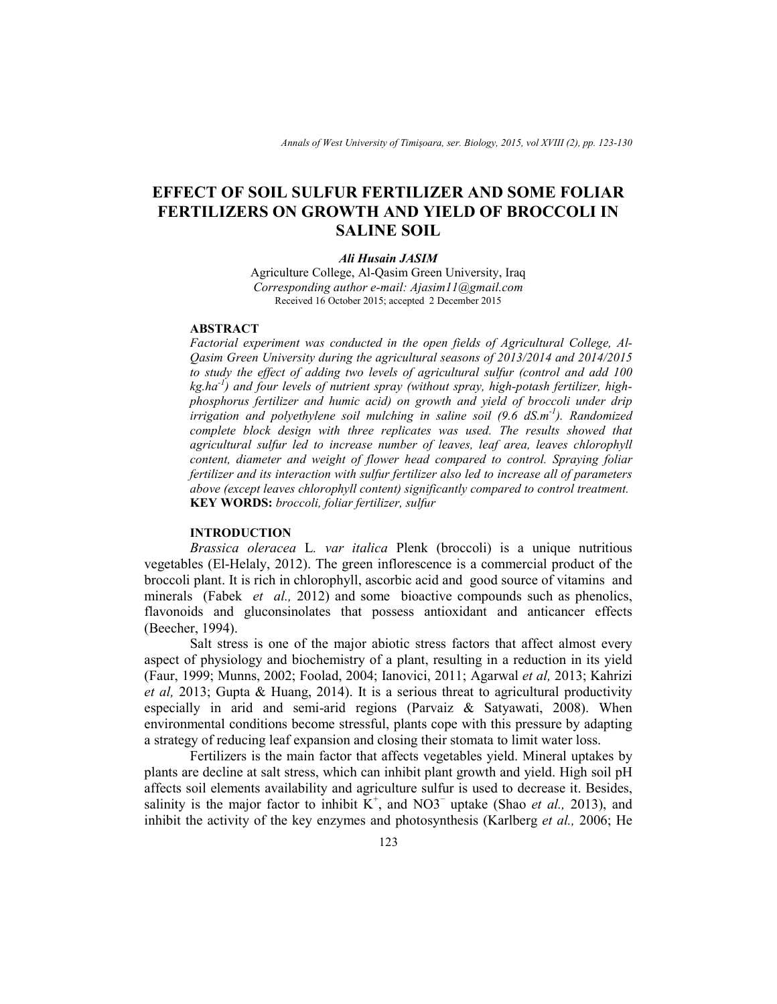# **EFFECT OF SOIL SULFUR FERTILIZER AND SOME FOLIAR FERTILIZERS ON GROWTH AND YIELD OF BROCCOLI IN SALINE SOIL**

# *Ali Husain JASIM*

Agriculture College, Al-Qasim Green University, Iraq *Corresponding author e-mail: Ajasim11@gmail.com*  Received 16 October 2015; accepted 2 December 2015

# **ABSTRACT**

*Factorial experiment was conducted in the open fields of Agricultural College, Al-Qasim Green University during the agricultural seasons of 2013/2014 and 2014/2015 to study the effect of adding two levels of agricultural sulfur (control and add 100 kg.ha-1) and four levels of nutrient spray (without spray, high-potash fertilizer, highphosphorus fertilizer and humic acid) on growth and yield of broccoli under drip irrigation and polyethylene soil mulching in saline soil (9.6 dS.m-1). Randomized complete block design with three replicates was used. The results showed that agricultural sulfur led to increase number of leaves, leaf area, leaves chlorophyll content, diameter and weight of flower head compared to control. Spraying foliar fertilizer and its interaction with sulfur fertilizer also led to increase all of parameters above (except leaves chlorophyll content) significantly compared to control treatment.*  **KEY WORDS:** *broccoli, foliar fertilizer, sulfur*

# **INTRODUCTION**

*Brassica oleracea* L*. var italica* Plenk (broccoli) is a unique nutritious vegetables (El-Helaly, 2012). The green inflorescence is a commercial product of the broccoli plant. It is rich in chlorophyll, ascorbic acid and good source of vitamins and minerals (Fabek *et al.,* 2012) and some bioactive compounds such as phenolics, flavonoids and gluconsinolates that possess antioxidant and anticancer effects (Beecher, 1994).

 Salt stress is one of the major abiotic stress factors that affect almost every aspect of physiology and biochemistry of a plant, resulting in a reduction in its yield (Faur, 1999; Munns, 2002; Foolad, 2004; Ianovici, 2011; Agarwal *et al,* 2013; Kahrizi *et al,* 2013; Gupta & Huang, 2014). It is a serious threat to agricultural productivity especially in arid and semi-arid regions (Parvaiz & Satyawati, 2008). When environmental conditions become stressful, plants cope with this pressure by adapting a strategy of reducing leaf expansion and closing their stomata to limit water loss.

 Fertilizers is the main factor that affects vegetables yield. Mineral uptakes by plants are decline at salt stress, which can inhibit plant growth and yield. High soil pH affects soil elements availability and agriculture sulfur is used to decrease it. Besides, salinity is the major factor to inhibit  $K^+$ , and NO3<sup> $-$ </sup> uptake (Shao *et al.*, 2013), and inhibit the activity of the key enzymes and photosynthesis (Karlberg *et al.,* 2006; He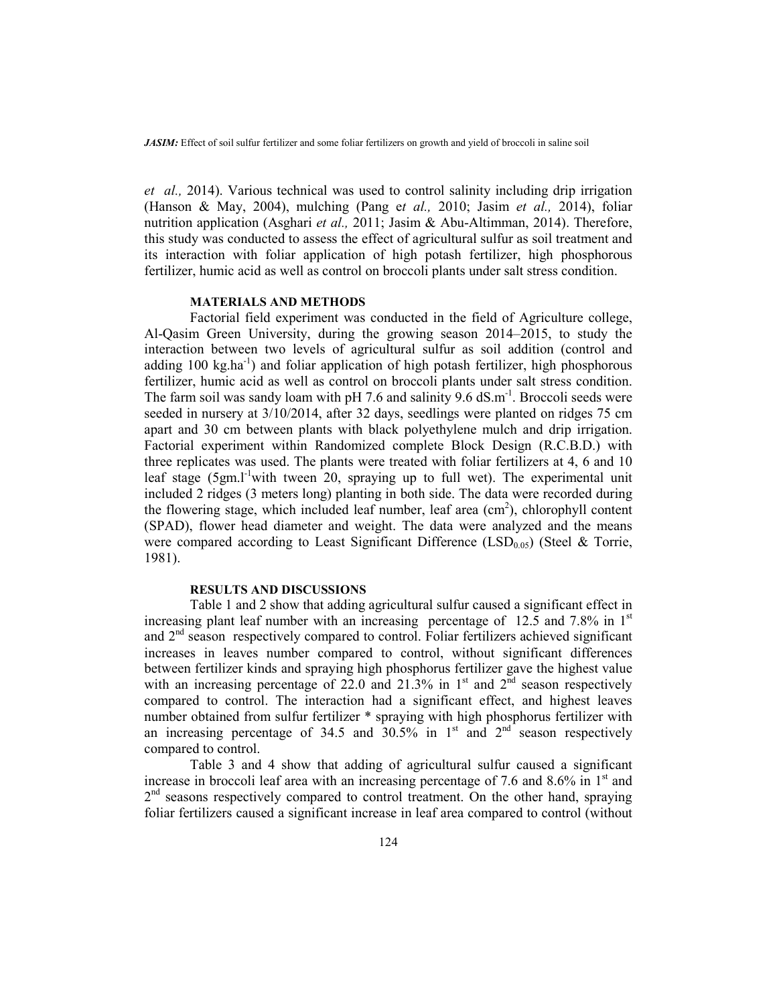*et al.,* 2014). Various technical was used to control salinity including drip irrigation (Hanson & May, 2004), mulching (Pang e*t al.,* 2010; Jasim *et al.,* 2014), foliar nutrition application (Asghari *et al.,* 2011; Jasim & Abu-Altimman, 2014). Therefore, this study was conducted to assess the effect of agricultural sulfur as soil treatment and its interaction with foliar application of high potash fertilizer, high phosphorous fertilizer, humic acid as well as control on broccoli plants under salt stress condition.

## **MATERIALS AND METHODS**

Factorial field experiment was conducted in the field of Agriculture college, Al-Qasim Green University, during the growing season 2014–2015, to study the interaction between two levels of agricultural sulfur as soil addition (control and adding 100 kg.ha<sup>-1</sup>) and foliar application of high potash fertilizer, high phosphorous fertilizer, humic acid as well as control on broccoli plants under salt stress condition. The farm soil was sandy loam with pH 7.6 and salinity  $9.6 \text{ dS.m}^{-1}$ . Broccoli seeds were seeded in nursery at 3/10/2014, after 32 days, seedlings were planted on ridges 75 cm apart and 30 cm between plants with black polyethylene mulch and drip irrigation. Factorial experiment within Randomized complete Block Design (R.C.B.D.) with three replicates was used. The plants were treated with foliar fertilizers at 4, 6 and 10 leaf stage  $(5gm.1<sup>-1</sup> with two terms are equal to 1000)$  leaf stage is the experimental unit included 2 ridges (3 meters long) planting in both side. The data were recorded during the flowering stage, which included leaf number, leaf area (cm<sup>2</sup>), chlorophyll content (SPAD), flower head diameter and weight. The data were analyzed and the means were compared according to Least Significant Difference (LSD<sub>0.05</sub>) (Steel & Torrie, 1981).

### **RESULTS AND DISCUSSIONS**

 Table 1 and 2 show that adding agricultural sulfur caused a significant effect in increasing plant leaf number with an increasing percentage of 12.5 and 7.8% in  $1<sup>st</sup>$ and  $2<sup>nd</sup>$  season respectively compared to control. Foliar fertilizers achieved significant increases in leaves number compared to control, without significant differences between fertilizer kinds and spraying high phosphorus fertilizer gave the highest value with an increasing percentage of 22.0 and 21.3% in  $1<sup>st</sup>$  and  $2<sup>nd</sup>$  season respectively compared to control. The interaction had a significant effect, and highest leaves number obtained from sulfur fertilizer \* spraying with high phosphorus fertilizer with an increasing percentage of 34.5 and  $30.5\%$  in 1<sup>st</sup> and  $2<sup>nd</sup>$  season respectively compared to control.

 Table 3 and 4 show that adding of agricultural sulfur caused a significant increase in broccoli leaf area with an increasing percentage of 7.6 and 8.6% in  $1<sup>st</sup>$  and 2<sup>nd</sup> seasons respectively compared to control treatment. On the other hand, spraying foliar fertilizers caused a significant increase in leaf area compared to control (without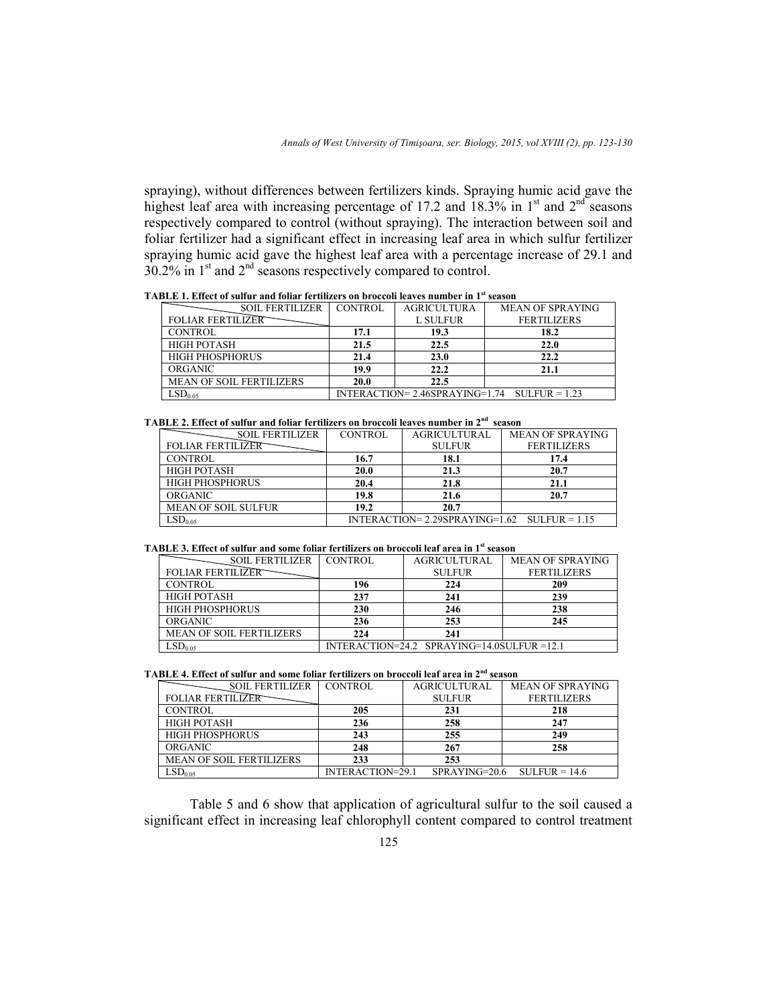spraying), without differences between fertilizers kinds. Spraying humic acid gave the highest leaf area with increasing percentage of 17.2 and  $18.3\%$  in 1<sup>st</sup> and 2<sup>nd</sup> seasons respectively compared to control (without spraying). The interaction between soil and foliar fertilizer had a significant effect in increasing leaf area in which sulfur fertilizer spraying humic acid gave the highest leaf area with a percentage increase of 29.1 and  $30.2\%$  in 1<sup>st</sup> and  $2<sup>nd</sup>$  seasons respectively compared to control.

| TABLE 1. Effect of sulfur and foliar fertilizers on broccoli leaves number in 1 <sup>st</sup> season |  |  |  |
|------------------------------------------------------------------------------------------------------|--|--|--|
|                                                                                                      |  |  |  |

| <b>SOIL FERTILIZER</b>          | <b>CONTROL</b> | <b>AGRICULTURA</b> | <b>MEAN OF SPRAYING</b>                              |
|---------------------------------|----------------|--------------------|------------------------------------------------------|
| <b>FOLIAR FERTILIZER</b>        |                | <b>L SULFUR</b>    | <b>FERTILIZERS</b>                                   |
| <b>CONTROL</b>                  | 17.1           | 19.3               | 18.2                                                 |
| <b>HIGH POTASH</b>              | 21.5           | 22.5               | 22.0                                                 |
| <b>HIGH PHOSPHORUS</b>          | 21.4           | 23.0               | 22.2                                                 |
| ORGANIC                         | 19.9           | 22.2               | 21.1                                                 |
| <b>MEAN OF SOIL FERTILIZERS</b> | 20.0           | 22.5               |                                                      |
| $\mathrm{LSD}_{0.05}$           |                |                    | $INTERACTION = 2.46SPRAYING = 1.74$ $SULERUR = 1.23$ |

### **TABLE 2. Effect of sulfur and foliar fertilizers on broccoli leaves number in 2nd season**

| <b>SOIL FERTILIZER</b>     | CONTROL                                              | <b>AGRICULTURAL</b> | <b>MEAN OF SPRAYING</b> |  |  |
|----------------------------|------------------------------------------------------|---------------------|-------------------------|--|--|
| <b>FOLIAR FERTILIZER</b>   |                                                      | <b>SULFUR</b>       | <b>FERTILIZERS</b>      |  |  |
| CONTROL                    | 16.7                                                 | 18.1                | 17.4                    |  |  |
| <b>HIGH POTASH</b>         | 20.0                                                 | 21.3                | 20.7                    |  |  |
| <b>HIGH PHOSPHORUS</b>     | 20.4                                                 | 21.8                | 21.1                    |  |  |
| <b>ORGANIC</b>             | 19.8                                                 | 21.6                | 20.7                    |  |  |
| <b>MEAN OF SOIL SULFUR</b> | 19.2                                                 | 20.7                |                         |  |  |
| $SD_{0.05}$                | $INTERACTION = 2.29SPRAYING = 1.62$ $SULERUR = 1.15$ |                     |                         |  |  |

#### **TABLE 3. Effect of sulfur and some foliar fertilizers on broccoli leaf area in 1st season**

| <b>SOIL FERTILIZER</b>          | CONTROL                                               | <b>AGRICULTURAL</b> | <b>MEAN OF SPRAYING</b> |  |  |
|---------------------------------|-------------------------------------------------------|---------------------|-------------------------|--|--|
| <b>FOLIAR FERTILIZER</b>        |                                                       | <b>SULFUR</b>       | <b>FERTILIZERS</b>      |  |  |
| <b>CONTROL</b>                  | 196                                                   | 224                 | 209                     |  |  |
| <b>HIGH POTASH</b>              | 237                                                   | 241                 | 239                     |  |  |
| <b>HIGH PHOSPHORUS</b>          | 230                                                   | 246                 | 238                     |  |  |
| <b>ORGANIC</b>                  | 236                                                   | 253                 | 245                     |  |  |
| <b>MEAN OF SOIL FERTILIZERS</b> | 224                                                   | 241                 |                         |  |  |
| $\mathrm{\mathsf{LSD}_{0.05}}$  | $INTERACTION = 24.2$ $SPRAYING = 14.0 SULERUR = 12.1$ |                     |                         |  |  |

**TABLE 4. Effect of sulfur and some foliar fertilizers on broccoli leaf area in 2nd season** 

| <b>SOIL FERTILIZER</b>          | <b>CONTROL</b>   | <b>AGRICULTURAL</b> | <b>MEAN OF SPRAYING</b> |
|---------------------------------|------------------|---------------------|-------------------------|
| <b>FOLIAR FERTILIZER</b>        |                  | <b>SULFUR</b>       | <b>FERTILIZERS</b>      |
| <b>CONTROL</b>                  | 205              | 231                 | 218                     |
| <b>HIGH POTASH</b>              | 236              | 258                 | 247                     |
| <b>HIGH PHOSPHORUS</b>          | 243              | 255                 | 249                     |
| ORGANIC                         | 248              | 267                 | 258                     |
| <b>MEAN OF SOIL FERTILIZERS</b> | 233              | 253                 |                         |
| LSD <sub>0.05</sub>             | INTERACTION=29.1 | $SPRAYING=20.6$     | $SULFUR = 14.6$         |

 Table 5 and 6 show that application of agricultural sulfur to the soil caused a significant effect in increasing leaf chlorophyll content compared to control treatment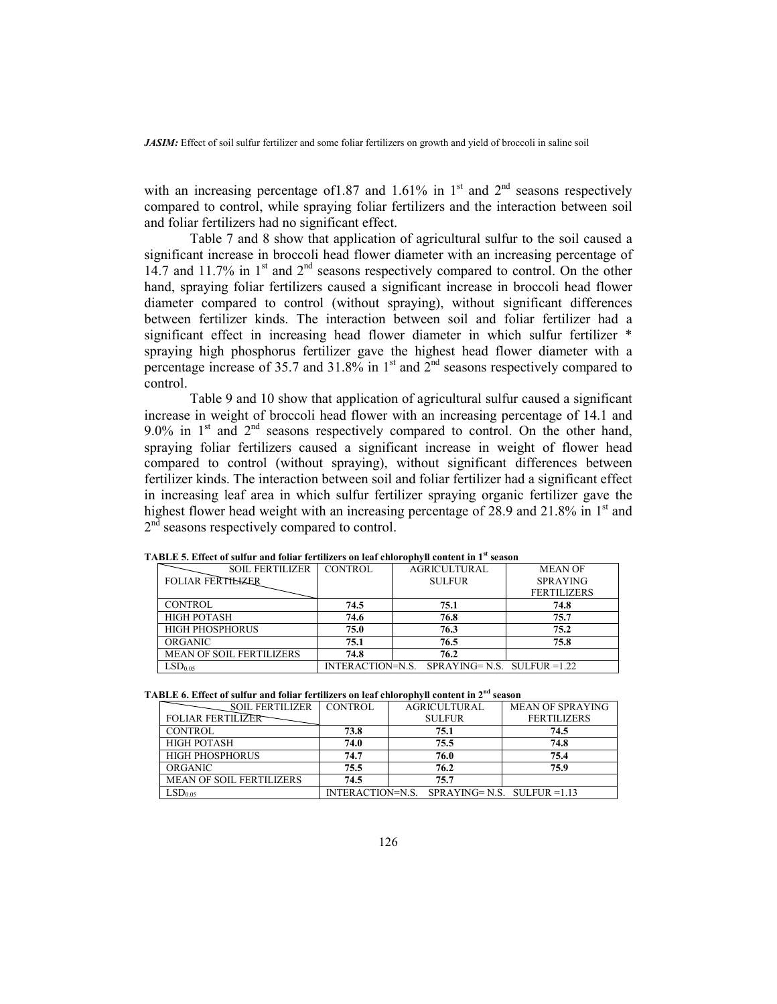with an increasing percentage of 1.87 and 1.61% in  $1<sup>st</sup>$  and  $2<sup>nd</sup>$  seasons respectively compared to control, while spraying foliar fertilizers and the interaction between soil and foliar fertilizers had no significant effect.

 Table 7 and 8 show that application of agricultural sulfur to the soil caused a significant increase in broccoli head flower diameter with an increasing percentage of 14.7 and 11.7% in 1<sup>st</sup> and 2<sup>nd</sup> seasons respectively compared to control. On the other hand, spraying foliar fertilizers caused a significant increase in broccoli head flower diameter compared to control (without spraying), without significant differences between fertilizer kinds. The interaction between soil and foliar fertilizer had a significant effect in increasing head flower diameter in which sulfur fertilizer \* spraying high phosphorus fertilizer gave the highest head flower diameter with a percentage increase of 35.7 and 31.8% in  $1<sup>st</sup>$  and  $2<sup>nd</sup>$  seasons respectively compared to control.

 Table 9 and 10 show that application of agricultural sulfur caused a significant increase in weight of broccoli head flower with an increasing percentage of 14.1 and 9.0% in  $1<sup>st</sup>$  and  $2<sup>nd</sup>$  seasons respectively compared to control. On the other hand, spraying foliar fertilizers caused a significant increase in weight of flower head compared to control (without spraying), without significant differences between fertilizer kinds. The interaction between soil and foliar fertilizer had a significant effect in increasing leaf area in which sulfur fertilizer spraying organic fertilizer gave the highest flower head weight with an increasing percentage of 28.9 and 21.8% in 1<sup>st</sup> and 2<sup>nd</sup> seasons respectively compared to control.

| <b>SOIL FERTILIZER</b>          | CONTROL | <b>AGRICULTURAL</b>                                 | <b>MEAN OF</b>     |
|---------------------------------|---------|-----------------------------------------------------|--------------------|
| <b>FOLIAR FERTILIZER</b>        |         | <b>SULFUR</b>                                       | <b>SPRAYING</b>    |
|                                 |         |                                                     | <b>FERTILIZERS</b> |
| <b>CONTROL</b>                  | 74.5    | 75.1                                                | 74.8               |
| <b>HIGH POTASH</b>              | 74.6    | 76.8                                                | 75.7               |
| <b>HIGH PHOSPHORUS</b>          | 75.0    | 76.3                                                | 75.2               |
| <b>ORGANIC</b>                  | 75.1    | 76.5                                                | 75.8               |
| <b>MEAN OF SOIL FERTILIZERS</b> | 74.8    | 76.2                                                |                    |
| $SD_{0.05}$                     |         | $INTERACTION = N.S. SPRAYING = N.S. SULERUR = 1.22$ |                    |

**TABLE 5. Effect of sulfur and foliar fertilizers on leaf chlorophyll content in 1st season** 

| TABLE 6. Effect of sulfur and foliar fertilizers on leaf chlorophyll content in 2 <sup>nd</sup> season |  |  |
|--------------------------------------------------------------------------------------------------------|--|--|
|--------------------------------------------------------------------------------------------------------|--|--|

| <b>SOIL FERTILIZER</b>          | CONTROL | <b>AGRICULTURAL</b>                        | <b>MEAN OF SPRAYING</b> |
|---------------------------------|---------|--------------------------------------------|-------------------------|
| <b>FOLIAR FERTILIZER</b>        |         | <b>SULFUR</b>                              | <b>FERTILIZERS</b>      |
| <b>CONTROL</b>                  | 73.8    | 75.1                                       | 74.5                    |
| <b>HIGH POTASH</b>              | 74.0    | 75.5                                       | 74.8                    |
| <b>HIGH PHOSPHORUS</b>          | 74.7    | 76.0                                       | 75.4                    |
| ORGANIC                         | 75.5    | 76.2                                       | 75.9                    |
| <b>MEAN OF SOIL FERTILIZERS</b> | 74.5    | 75.7                                       |                         |
| LSD <sub>0.05</sub>             |         | INTERACTION=N.S. SPRAYING=N.S. SULFUR=1.13 |                         |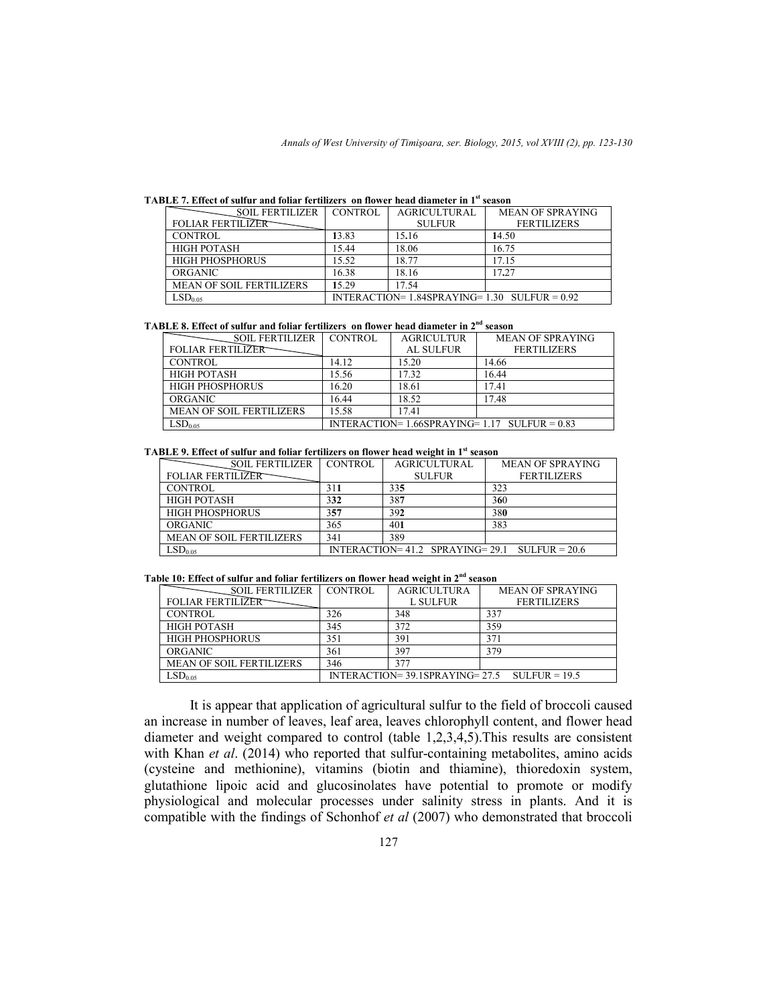|  |  |  |  | TABLE 7. Effect of sulfur and foliar fertilizers on flower head diameter in 1st season |
|--|--|--|--|----------------------------------------------------------------------------------------|
|--|--|--|--|----------------------------------------------------------------------------------------|

| <b>SOIL FERTILIZER</b>          | CONTROL                                            | <b>AGRICULTURAL</b> | <b>MEAN OF SPRAYING</b> |  |
|---------------------------------|----------------------------------------------------|---------------------|-------------------------|--|
| <b>FOLIAR FERTILIZER</b>        |                                                    | <b>SULFUR</b>       | <b>FERTILIZERS</b>      |  |
| CONTROL                         | 13.83                                              | 15.16               | 14.50                   |  |
| <b>HIGH POTASH</b>              | 15.44                                              | 18.06               | 16.75                   |  |
| <b>HIGH PHOSPHORUS</b>          | 15.52                                              | 18.77               | 17.15                   |  |
| <b>ORGANIC</b>                  | 16.38                                              | 18.16               | 17.27                   |  |
| <b>MEAN OF SOIL FERTILIZERS</b> | 15.29                                              | 17.54               |                         |  |
| LSD <sub>0.05</sub>             | INTERACTION= $1.84$ SPRAYING= $1.30$ SULFUR = 0.92 |                     |                         |  |

### **TABLE 8. Effect of sulfur and foliar fertilizers on flower head diameter in 2nd season**

| <b>SOIL FERTILIZER</b>          | <b>CONTROL</b>                                     | <b>AGRICULTUR</b> | <b>MEAN OF SPRAYING</b> |  |  |
|---------------------------------|----------------------------------------------------|-------------------|-------------------------|--|--|
| <b>FOLIAR FERTILIZER</b>        |                                                    | <b>AL SULFUR</b>  | <b>FERTILIZERS</b>      |  |  |
| <b>CONTROL</b>                  | 14.12                                              | 15.20             | 14.66                   |  |  |
| <b>HIGH POTASH</b>              | 15.56                                              | 17.32             | 16.44                   |  |  |
| <b>HIGH PHOSPHORUS</b>          | 16.20                                              | 18.61             | 17.41                   |  |  |
| <b>ORGANIC</b>                  | 16.44                                              | 18.52             | 17.48                   |  |  |
| <b>MEAN OF SOIL FERTILIZERS</b> | 15.58                                              | 17.41             |                         |  |  |
| LSD <sub>0.05</sub>             | INTERACTION= $1.66$ SPRAYING= $1.17$ SULFUR = 0.83 |                   |                         |  |  |

### **TABLE 9. Effect of sulfur and foliar fertilizers on flower head weight in 1st season**

| <b>SOIL FERTILIZER</b>          | <b>CONTROL</b> | <b>AGRICULTURAL</b>                                  | <b>MEAN OF SPRAYING</b> |
|---------------------------------|----------------|------------------------------------------------------|-------------------------|
| <b>FOLIAR FERTILIZER</b>        |                | <b>SULFUR</b>                                        | <b>FERTILIZERS</b>      |
| <b>CONTROL</b>                  | 311            | 335                                                  | 323                     |
| <b>HIGH POTASH</b>              | 332            | 387                                                  | 360                     |
| <b>HIGH PHOSPHORUS</b>          | 357            | 392                                                  | 380                     |
| ORGANIC                         | 365            | 401                                                  | 383                     |
| <b>MEAN OF SOIL FERTILIZERS</b> | 341            | 389                                                  |                         |
| $\mathsf{LSD}_{0.05}$           |                | INTERACTION= $41.2$ SPRAYING= $29.1$ SULFUR = $20.6$ |                         |

### **Table 10: Effect of sulfur and foliar fertilizers on flower head weight in 2nd season**

| <b>SOIL FERTILIZER</b>          | CONTROL                                              | <b>AGRICULTURA</b> | <b>MEAN OF SPRAYING</b> |
|---------------------------------|------------------------------------------------------|--------------------|-------------------------|
| <b>FOLIAR FERTILIZER</b>        |                                                      | L SULFUR           | <b>FERTILIZERS</b>      |
| <b>CONTROL</b>                  | 326                                                  | 348                | 337                     |
| <b>HIGH POTASH</b>              | 345                                                  | 372                | 359                     |
| <b>HIGH PHOSPHORUS</b>          | 351                                                  | 391                | 37)                     |
| <b>ORGANIC</b>                  | 361                                                  | 397                | 379                     |
| <b>MEAN OF SOIL FERTILIZERS</b> | 346                                                  | 377                |                         |
| $\mathrm{.SD}_{0.05}$           | $INTERACTION = 39.1SPRAYING = 27.5$ $SULERUR = 19.5$ |                    |                         |

 It is appear that application of agricultural sulfur to the field of broccoli caused an increase in number of leaves, leaf area, leaves chlorophyll content, and flower head diameter and weight compared to control (table 1,2,3,4,5).This results are consistent with Khan *et al.* (2014) who reported that sulfur-containing metabolites, amino acids (cysteine and methionine), vitamins (biotin and thiamine), thioredoxin system, glutathione lipoic acid and glucosinolates have potential to promote or modify physiological and molecular processes under salinity stress in plants. And it is compatible with the findings of Schonhof *et al* (2007) who demonstrated that broccoli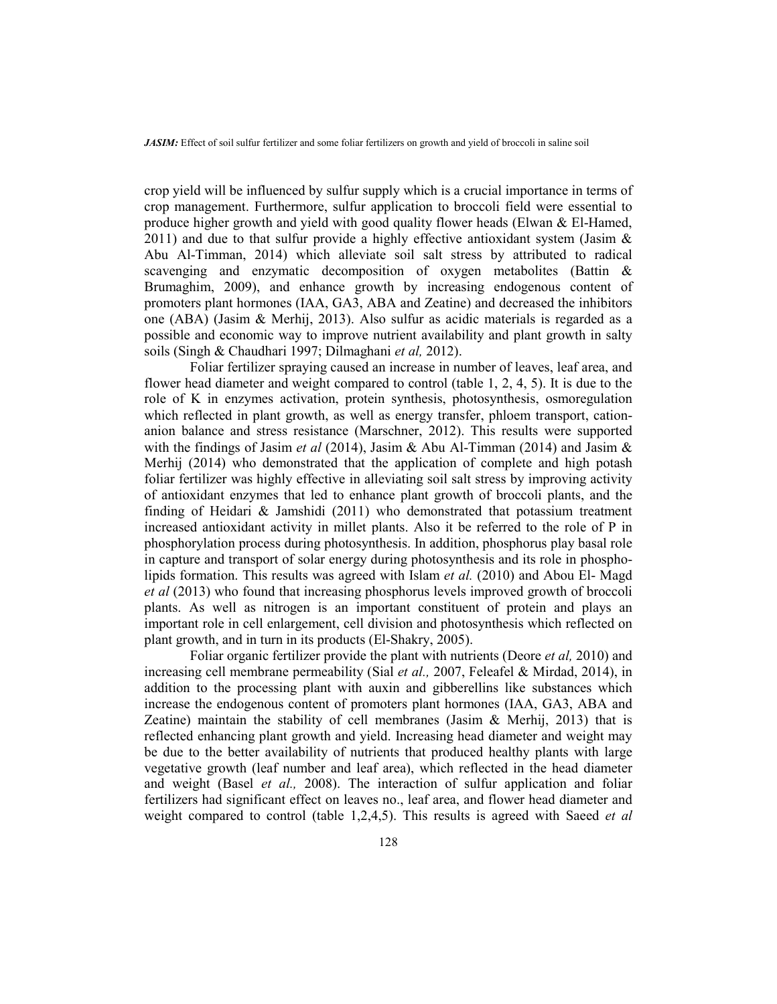crop yield will be influenced by sulfur supply which is a crucial importance in terms of crop management. Furthermore, sulfur application to broccoli field were essential to produce higher growth and yield with good quality flower heads (Elwan & El-Hamed, 2011) and due to that sulfur provide a highly effective antioxidant system (Jasim  $\&$ Abu Al-Timman, 2014) which alleviate soil salt stress by attributed to radical scavenging and enzymatic decomposition of oxygen metabolites (Battin & Brumaghim, 2009), and enhance growth by increasing endogenous content of promoters plant hormones (IAA, GA3, ABA and Zeatine) and decreased the inhibitors one (ABA) (Jasim & Merhij, 2013). Also sulfur as acidic materials is regarded as a possible and economic way to improve nutrient availability and plant growth in salty soils (Singh & Chaudhari 1997; Dilmaghani *et al,* 2012).

 Foliar fertilizer spraying caused an increase in number of leaves, leaf area, and flower head diameter and weight compared to control (table 1, 2, 4, 5). It is due to the role of K in enzymes activation, protein synthesis, photosynthesis, osmoregulation which reflected in plant growth, as well as energy transfer, phloem transport, cationanion balance and stress resistance (Marschner, 2012). This results were supported with the findings of Jasim *et al* (2014), Jasim & Abu Al-Timman (2014) and Jasim & Merhij (2014) who demonstrated that the application of complete and high potash foliar fertilizer was highly effective in alleviating soil salt stress by improving activity of antioxidant enzymes that led to enhance plant growth of broccoli plants, and the finding of Heidari  $\&$  Jamshidi (2011) who demonstrated that potassium treatment increased antioxidant activity in millet plants. Also it be referred to the role of P in phosphorylation process during photosynthesis. In addition, phosphorus play basal role in capture and transport of solar energy during photosynthesis and its role in phospholipids formation. This results was agreed with Islam *et al.* (2010) and Abou El- Magd *et al* (2013) who found that increasing phosphorus levels improved growth of broccoli plants. As well as nitrogen is an important constituent of protein and plays an important role in cell enlargement, cell division and photosynthesis which reflected on plant growth, and in turn in its products (El-Shakry, 2005).

 Foliar organic fertilizer provide the plant with nutrients (Deore *et al,* 2010) and increasing cell membrane permeability (Sial *et al.,* 2007, Feleafel & Mirdad, 2014), in addition to the processing plant with auxin and gibberellins like substances which increase the endogenous content of promoters plant hormones (IAA, GA3, ABA and Zeatine) maintain the stability of cell membranes (Jasim  $\&$  Merhij, 2013) that is reflected enhancing plant growth and yield. Increasing head diameter and weight may be due to the better availability of nutrients that produced healthy plants with large vegetative growth (leaf number and leaf area), which reflected in the head diameter and weight (Basel *et al.,* 2008). The interaction of sulfur application and foliar fertilizers had significant effect on leaves no., leaf area, and flower head diameter and weight compared to control (table 1,2,4,5). This results is agreed with Saeed *et al*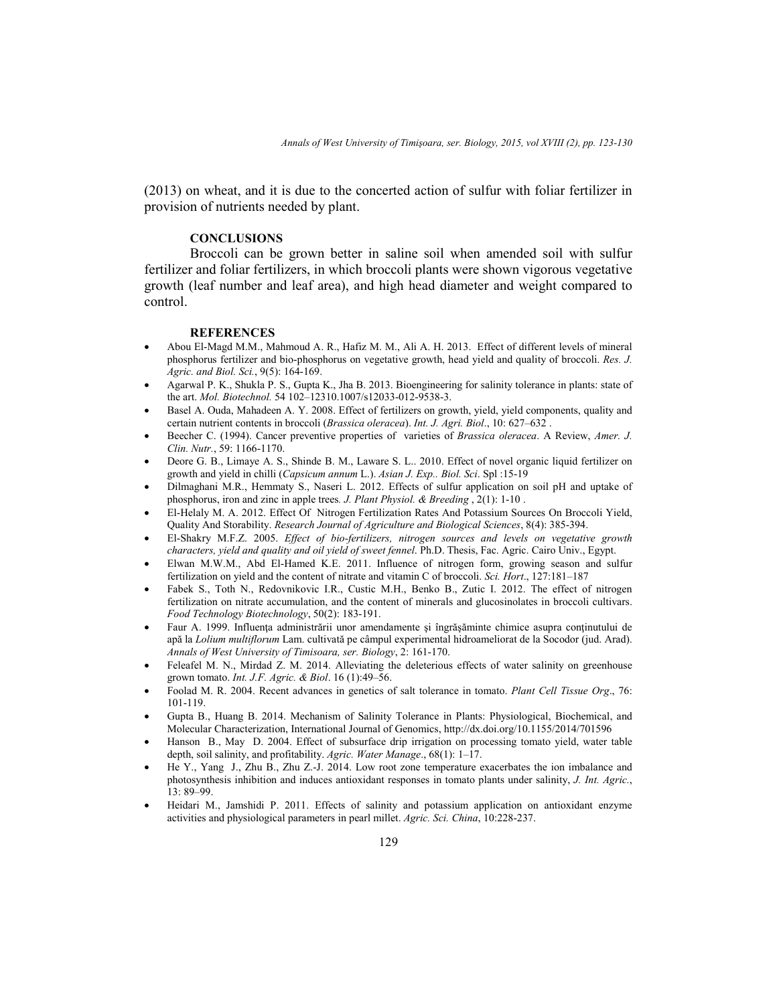(2013) on wheat, and it is due to the concerted action of sulfur with foliar fertilizer in provision of nutrients needed by plant.

# **CONCLUSIONS**

 Broccoli can be grown better in saline soil when amended soil with sulfur fertilizer and foliar fertilizers, in which broccoli plants were shown vigorous vegetative growth (leaf number and leaf area), and high head diameter and weight compared to control.

### **REFERENCES**

- Abou El-Magd M.M., Mahmoud A. R., Hafiz M. M., Ali A. H. 2013. Effect of different levels of mineral phosphorus fertilizer and bio-phosphorus on vegetative growth, head yield and quality of broccoli. *Res. J. Agric. and Biol. Sci.*, 9(5): 164-169.
- Agarwal P. K., Shukla P. S., Gupta K., Jha B. 2013. Bioengineering for salinity tolerance in plants: state of the art. *Mol. Biotechnol.* 54 102–12310.1007/s12033-012-9538-3.
- Basel A. Ouda, Mahadeen A. Y. 2008. Effect of fertilizers on growth, yield, yield components, quality and certain nutrient contents in broccoli (*Brassica oleracea*). *Int. J. Agri. Biol*., 10: 627–632 .
- Beecher C. (1994). Cancer preventive properties of varieties of *Brassica oleracea*. A Review, *Amer. J. Clin. Nutr.*, 59: 1166-1170.
- Deore G. B., Limaye A. S., Shinde B. M., Laware S. L.. 2010. Effect of novel organic liquid fertilizer on growth and yield in chilli (*Capsicum annum* L.). *Asian J. Exp.. Biol. Sci*. Spl :15-19
- Dilmaghani M.R., Hemmaty S., Naseri L. 2012. Effects of sulfur application on soil pH and uptake of phosphorus, iron and zinc in apple trees*. J. Plant Physiol. & Breeding* , 2(1): 1-10 .
- El-Helaly M. A. 2012. Effect Of Nitrogen Fertilization Rates And Potassium Sources On Broccoli Yield, Quality And Storability. *Research Journal of Agriculture and Biological Sciences*, 8(4): 385-394.
- El-Shakry M.F.Z. 2005. *Effect of bio-fertilizers, nitrogen sources and levels on vegetative growth characters, yield and quality and oil yield of sweet fennel*. Ph.D. Thesis, Fac. Agric. Cairo Univ., Egypt.
- Elwan M.W.M., Abd El-Hamed K.E. 2011. Influence of nitrogen form, growing season and sulfur fertilization on yield and the content of nitrate and vitamin C of broccoli. *Sci. Hort*., 127:181–187
- Fabek S., Toth N., Redovnikovic I.R., Custic M.H., Benko B., Zutic I. 2012. The effect of nitrogen fertilization on nitrate accumulation, and the content of minerals and glucosinolates in broccoli cultivars. *Food Technology Biotechnology*, 50(2): 183-191.
- Faur A. 1999. Influenţa administrării unor amendamente şi îngrăşăminte chimice asupra conţinutului de apă la *Lolium multiflorum* Lam. cultivată pe câmpul experimental hidroameliorat de la Socodor (jud. Arad). *Annals of West University of Timisoara, ser. Biology*, 2: 161-170.
- Feleafel M. N., Mirdad Z. M. 2014. Alleviating the deleterious effects of water salinity on greenhouse grown tomato. *Int. J.F. Agric. & Biol*. 16 (1):49–56.
- Foolad M. R. 2004. Recent advances in genetics of salt tolerance in tomato. *Plant Cell Tissue Org*., 76: 101-119.
- Gupta B., Huang B. 2014. Mechanism of Salinity Tolerance in Plants: Physiological, Biochemical, and Molecular Characterization, International Journal of Genomics, http://dx.doi.org/10.1155/2014/701596
- Hanson B., May D. 2004. Effect of subsurface drip irrigation on processing tomato yield, water table depth, soil salinity, and profitability. *Agric. Water Manage*., 68(1): 1–17.
- He Y., Yang J., Zhu B., Zhu Z.-J. 2014. Low root zone temperature exacerbates the ion imbalance and photosynthesis inhibition and induces antioxidant responses in tomato plants under salinity, *J. Int. Agric.*, 13: 89–99.
- Heidari M., Jamshidi P. 2011. Effects of salinity and potassium application on antioxidant enzyme activities and physiological parameters in pearl millet. *Agric. Sci. China*, 10:228-237.